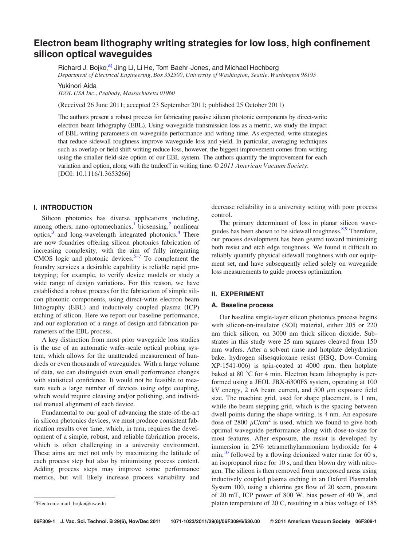# Electron beam lithography writing strategies for low loss, high confinement silicon optical waveguides

Richard J. Bojko,<sup>a)</sup> Jing Li, Li He, Tom Baehr-Jones, and Michael Hochberg

Department of Electrical Engineering, Box 352500, University of Washington, Seattle, Washington 98195

Yukinori Aida

JEOL USA Inc., Peabody, Massachusetts 01960

(Received 26 June 2011; accepted 23 September 2011; published 25 October 2011)

The authors present a robust process for fabricating passive silicon photonic components by direct-write electron beam lithography (EBL). Using waveguide transmission loss as a metric, we study the impact of EBL writing parameters on waveguide performance and writing time. As expected, write strategies that reduce sidewall roughness improve waveguide loss and yield. In particular, averaging techniques such as overlap or field shift writing reduce loss, however, the biggest improvement comes from writing using the smaller field-size option of our EBL system. The authors quantify the improvement for each variation and option, along with the tradeoff in writing time.  $\odot$  2011 American Vacuum Society. [DOI: 10.1116/1.3653266]

## I. INTRODUCTION

Silicon photonics has diverse applications including, among others, nano-optomechanics, $\frac{1}{2}$  $\frac{1}{2}$  $\frac{1}{2}$  $\frac{1}{2}$  $\frac{1}{2}$  biosensing, $\frac{2}{2}$  nonlinear optics,<sup>[3](#page-5-0)</sup> and long-wavelength integrated photonics.<sup>[4](#page-5-0)</sup> There are now foundries offering silicon photonics fabrication of increasing complexity, with the aim of fully integrating CMOS logic and photonic devices. $5-7$  To complement the foundry services a desirable capability is reliable rapid prototyping; for example, to verify device models or study a wide range of design variations. For this reason, we have established a robust process for the fabrication of simple silicon photonic components, using direct-write electron beam lithography (EBL) and inductively coupled plasma (ICP) etching of silicon. Here we report our baseline performance, and our exploration of a range of design and fabrication parameters of the EBL process.

A key distinction from most prior waveguide loss studies is the use of an automatic wafer-scale optical probing system, which allows for the unattended measurement of hundreds or even thousands of waveguides. With a large volume of data, we can distinguish even small performance changes with statistical confidence. It would not be feasible to measure such a large number of devices using edge coupling, which would require cleaving and/or polishing, and individual manual alignment of each device.

Fundamental to our goal of advancing the state-of-the-art in silicon photonics devices, we must produce consistent fabrication results over time, which, in turn, requires the development of a simple, robust, and reliable fabrication process, which is often challenging in a university environment. These aims are met not only by maximizing the latitude of each process step but also by minimizing process content. Adding process steps may improve some performance metrics, but will likely increase process variability and

decrease reliability in a university setting with poor process control.

The primary determinant of loss in planar silicon waveguides has been shown to be sidewall roughness.<sup>8,9</sup> Therefore, our process development has been geared toward minimizing both resist and etch edge roughness. We found it difficult to reliably quantify physical sidewall roughness with our equipment set, and have subsequently relied solely on waveguide loss measurements to guide process optimization.

## II. EXPERIMENT

#### A. Baseline process

Our baseline single-layer silicon photonics process begins with silicon-on-insulator (SOI) material, either 205 or 220 nm thick silicon, on 3000 nm thick silicon dioxide. Substrates in this study were 25 mm squares cleaved from 150 mm wafers. After a solvent rinse and hotplate dehydration bake, hydrogen silsesquioxane resist (HSQ, Dow-Corning XP-1541-006) is spin-coated at 4000 rpm, then hotplate baked at 80 °C for 4 min. Electron beam lithography is performed using a JEOL JBX-6300FS system, operating at 100 kV energy, 2 nA beam current, and 500  $\mu$ m exposure field size. The machine grid, used for shape placement, is 1 nm, while the beam stepping grid, which is the spacing between dwell points during the shape writing, is 4 nm. An exposure dose of 2800  $\mu$ C/cm<sup>2</sup> is used, which we found to give both optimal waveguide performance along with dose-to-size for most features. After exposure, the resist is developed by immersion in 25% tetramethylammonium hydroxide for 4  $\min$ ,<sup>[10](#page-5-0)</sup> followed by a flowing deionized water rinse for 60 s, an isopropanol rinse for 10 s, and then blown dry with nitrogen. The silicon is then removed from unexposed areas using inductively coupled plasma etching in an Oxford Plasmalab System 100, using a chlorine gas flow of 20 sccm, pressure of 20 mT, ICP power of 800 W, bias power of 40 W, and a)Electronic mail: bojko@uw.edu **bias voltage of 185** a)Electronic mail: bojko@uw.edu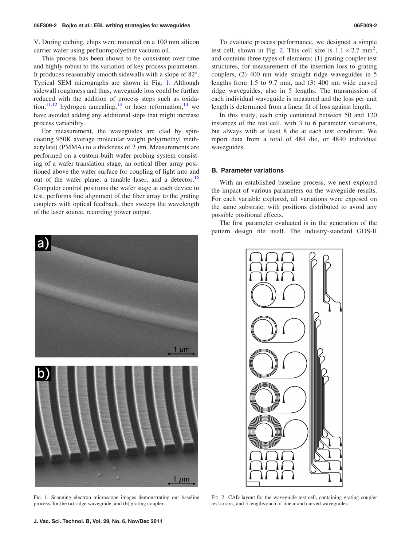V. During etching, chips were mounted on a 100 mm silicon carrier wafer using perfluoropolyether vacuum oil.

This process has been shown to be consistent over time and highly robust to the variation of key process parameters. It produces reasonably smooth sidewalls with a slope of 82°. Typical SEM micrographs are shown in Fig. 1. Although sidewall roughness and thus, waveguide loss could be further reduced with the addition of process steps such as oxida-tion,<sup>[11,12](#page-5-0)</sup> hydrogen annealing,<sup>[13](#page-5-0)</sup> or laser reformation,<sup>[14](#page-5-0)</sup> we have avoided adding any additional steps that might increase process variability.

For measurement, the waveguides are clad by spincoating 950K average molecular weight poly(methyl methacrylate) (PMMA) to a thickness of  $2 \mu m$ . Measurements are performed on a custom-built wafer probing system consisting of a wafer translation stage, an optical fiber array positioned above the wafer surface for coupling of light into and out of the wafer plane, a tunable laser, and a detector.<sup>[15](#page-5-0)</sup> Computer control positions the wafer stage at each device to test, performs fine alignment of the fiber array to the grating couplers with optical feedback, then sweeps the wavelength of the laser source, recording power output.

To evaluate process performance, we designed a simple test cell, shown in Fig. 2. This cell size is  $1.1 \times 2.7$  mm<sup>2</sup>, and contains three types of elements: (1) grating coupler test structures, for measurement of the insertion loss to grating couplers, (2) 400 nm wide straight ridge waveguides in 5 lengths from 1.5 to 9.7 mm, and (3) 400 nm wide curved ridge waveguides, also in 5 lengths. The transmission of each individual waveguide is measured and the loss per unit length is determined from a linear fit of loss against length.

In this study, each chip contained between 50 and 120 instances of the test cell, with 3 to 6 parameter variations, but always with at least 8 die at each test condition. We report data from a total of 484 die, or 4840 individual waveguides.

#### B. Parameter variations

With an established baseline process, we next explored the impact of various parameters on the waveguide results. For each variable explored, all variations were exposed on the same substrate, with positions distributed to avoid any possible positional effects.

The first parameter evaluated is in the generation of the pattern design file itself. The industry-standard GDS-II



FIG. 1. Scanning electron microscope images demonstrating our baseline process, for the (a) ridge waveguide, and (b) grating coupler.



FIG. 2. CAD layout for the waveguide test cell, containing grating coupler test arrays, and 5 lengths each of linear and curved waveguides.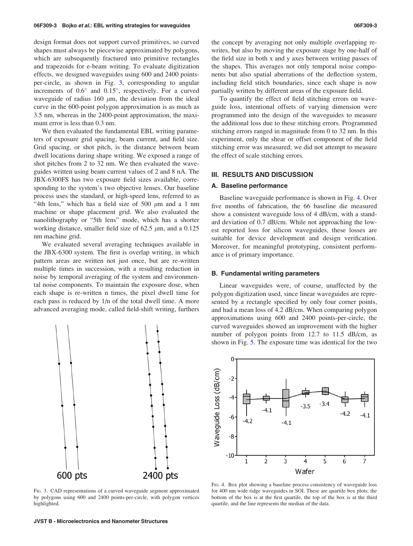design format does not support curved primitives, so curved shapes must always be piecewise approximated by polygons, which are subsequently fractured into primitive rectangles and trapezoids for e-beam writing. To evaluate digitization effects, we designed waveguides using 600 and 2400 pointsper-circle, as shown in Fig. 3, corresponding to angular increments of  $0.6^{\circ}$  and  $0.15^{\circ}$ , respectively. For a curved waveguide of radius 160  $\mu$ m, the deviation from the ideal curve in the 600-point polygon approximation is as much as 3.5 nm, whereas in the 2400-point approximation, the maximum error is less than 0.3 nm.

We then evaluated the fundamental EBL writing parameters of exposure grid spacing, beam current, and field size. Grid spacing, or shot pitch, is the distance between beam dwell locations during shape writing. We exposed a range of shot pitches from 2 to 32 nm. We then evaluated the waveguides written using beam current values of 2 and 8 nA. The JBX-6300FS has two exposure field sizes available, corresponding to the system's two objective lenses. Our baseline process uses the standard, or high-speed lens, referred to as "4th lens," which has a field size of 500  $\mu$ m and a 1 nm machine or shape placement grid. We also evaluated the nanolithography or "5th lens" mode, which has a shorter working distance, smaller field size of 62.5  $\mu$ m, and a 0.125 nm machine grid.

We evaluated several averaging techniques available in the JBX-6300 system. The first is overlap writing, in which pattern areas are written not just once, but are re-written multiple times in succession, with a resulting reduction in noise by temporal averaging of the system and environmental noise components. To maintain the exposure dose, when each shape is re-written n times, the pixel dwell time for each pass is reduced by 1/n of the total dwell time. A more advanced averaging mode, called field-shift writing, furthers



FIG. 3. CAD representations of a curved waveguide segment approximated by polygons using 600 and 2400 points-per-circle, with polygon vertices highlighted.

the concept by averaging not only multiple overlapping rewrites, but also by moving the exposure stage by one-half of the field size in both x and y axes between writing passes of the shapes. This averages not only temporal noise components but also spatial aberrations of the deflection system, including field stitch boundaries, since each shape is now partially written by different areas of the exposure field.

To quantify the effect of field stitching errors on waveguide loss, intentional offsets of varying dimension were programmed into the design of the waveguides to measure the additional loss due to these stitching errors. Programmed stitching errors ranged in magnitude from 0 to 32 nm. In this experiment, only the shear or offset component of the field stitching error was measured; we did not attempt to measure the effect of scale stitching errors.

## III. RESULTS AND DISCUSSION

## A. Baseline performance

Baseline waveguide performance is shown in Fig. 4. Over five months of fabrication, the 66 baseline die measured show a consistent waveguide loss of 4 dB/cm, with a standard deviation of 0.7 dB/cm. While not approaching the lowest reported loss for silicon waveguides, these losses are suitable for device development and design verification. Moreover, for meaningful prototyping, consistent performance is of primary importance.

#### B. Fundamental writing parameters

Linear waveguides were, of course, unaffected by the polygon digitization used, since linear waveguides are represented by a rectangle specified by only four corner points, and had a mean loss of 4.2 dB/cm. When comparing polygon approximations using 600 and 2400 points-per-circle, the curved waveguides showed an improvement with the higher number of polygon points from 12.7 to 11.5 dB/cm, as shown in Fig. [5](#page-3-0). The exposure time was identical for the two



FIG. 4. Box plot showing a baseline process consistency of waveguide loss for 400 nm wide ridge waveguides in SOI. These are quartile box plots; the bottom of the box is at the first quartile, the top of the box is at the third quartile, and the line represents the median of the data.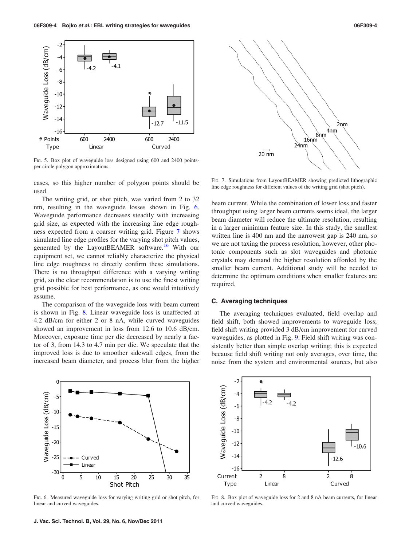<span id="page-3-0"></span>

FIG. 5. Box plot of waveguide loss designed using 600 and 2400 pointsper-circle polygon approximations.

cases, so this higher number of polygon points should be used.

The writing grid, or shot pitch, was varied from 2 to 32 nm, resulting in the waveguide losses shown in Fig. 6. Waveguide performance decreases steadily with increasing grid size, as expected with the increasing line edge roughness expected from a coarser writing grid. Figure 7 shows simulated line edge profiles for the varying shot pitch values, generated by the LayoutBEAMER software.<sup>[16](#page-5-0)</sup> With our equipment set, we cannot reliably characterize the physical line edge roughness to directly confirm these simulations. There is no throughput difference with a varying writing grid, so the clear recommendation is to use the finest writing grid possible for best performance, as one would intuitively assume.

The comparison of the waveguide loss with beam current is shown in Fig. 8. Linear waveguide loss is unaffected at 4.2 dB/cm for either 2 or 8 nA, while curved waveguides showed an improvement in loss from 12.6 to 10.6 dB/cm. Moreover, exposure time per die decreased by nearly a factor of 3, from 14.3 to 4.7 min per die. We speculate that the improved loss is due to smoother sidewall edges, from the increased beam diameter, and process blur from the higher



FIG. 7. Simulations from LayoutBEAMER showing predicted lithographic line edge roughness for different values of the writing grid (shot pitch).

beam current. While the combination of lower loss and faster throughput using larger beam currents seems ideal, the larger beam diameter will reduce the ultimate resolution, resulting in a larger minimum feature size. In this study, the smallest written line is 400 nm and the narrowest gap is 240 nm, so we are not taxing the process resolution, however, other photonic components such as slot waveguides and photonic crystals may demand the higher resolution afforded by the smaller beam current. Additional study will be needed to determine the optimum conditions when smaller features are required.

## C. Averaging techniques

The averaging techniques evaluated, field overlap and field shift, both showed improvements to waveguide loss; field shift writing provided 3 dB/cm improvement for curved waveguides, as plotted in Fig. [9.](#page-4-0) Field shift writing was consistently better than simple overlap writing; this is expected because field shift writing not only averages, over time, the noise from the system and environmental sources, but also



FIG. 6. Measured waveguide loss for varying writing grid or shot pitch, for linear and curved waveguides.



FIG. 8. Box plot of waveguide loss for 2 and 8 nA beam currents, for linear and curved waveguides.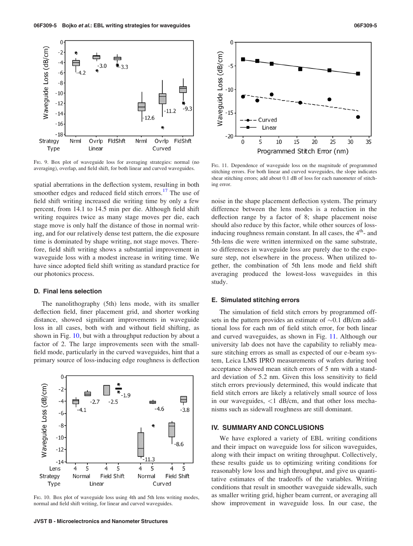<span id="page-4-0"></span>

FIG. 9. Box plot of waveguide loss for averaging strategies: normal (no averaging), overlap, and field shift, for both linear and curved waveguides.

spatial aberrations in the deflection system, resulting in both smoother edges and reduced field stitch errors.<sup>[17](#page-5-0)</sup> The use of field shift writing increased die writing time by only a few percent, from 14.1 to 14.5 min per die. Although field shift writing requires twice as many stage moves per die, each stage move is only half the distance of those in normal writing, and for our relatively dense test pattern, the die exposure time is dominated by shape writing, not stage moves. Therefore, field shift writing shows a substantial improvement in waveguide loss with a modest increase in writing time. We have since adopted field shift writing as standard practice for our photonics process.

#### D. Final lens selection

The nanolithography (5th) lens mode, with its smaller deflection field, finer placement grid, and shorter working distance, showed significant improvements in waveguide loss in all cases, both with and without field shifting, as shown in Fig. 10, but with a throughput reduction by about a factor of 2. The large improvements seen with the smallfield mode, particularly in the curved waveguides, hint that a primary source of loss-inducing edge roughness is deflection



FIG. 10. Box plot of waveguide loss using 4th and 5th lens writing modes, normal and field shift writing, for linear and curved waveguides.



FIG. 11. Dependence of waveguide loss on the magnitude of programmed stitching errors. For both linear and curved waveguides, the slope indicates shear stitching errors; add about 0.1 dB of loss for each nanometer of stitching error.

noise in the shape placement deflection system. The primary difference between the lens modes is a reduction in the deflection range by a factor of 8; shape placement noise should also reduce by this factor, while other sources of lossinducing roughness remain constant. In all cases, the  $4<sup>th</sup>$ - and 5th-lens die were written intermixed on the same substrate, so differences in waveguide loss are purely due to the exposure step, not elsewhere in the process. When utilized together, the combination of 5th lens mode and field shift averaging produced the lowest-loss waveguides in this study.

#### E. Simulated stitching errors

The simulation of field stitch errors by programmed offsets in the pattern provides an estimate of  $\sim 0.1$  dB/cm additional loss for each nm of field stitch error, for both linear and curved waveguides, as shown in Fig. 11. Although our university lab does not have the capability to reliably measure stitching errors as small as expected of our e-beam system, Leica LMS IPRO measurements of wafers during tool acceptance showed mean stitch errors of 5 nm with a standard deviation of 5.2 nm. Given this loss sensitivity to field stitch errors previously determined, this would indicate that field stitch errors are likely a relatively small source of loss in our waveguides,  $\langle 1 \text{ dB/cm}, \text{ and that other loss mechan-} \rangle$ nisms such as sidewall roughness are still dominant.

## IV. SUMMARY AND CONCLUSIONS

We have explored a variety of EBL writing conditions and their impact on waveguide loss for silicon waveguides, along with their impact on writing throughput. Collectively, these results guide us to optimizing writing conditions for reasonably low loss and high throughput, and give us quantitative estimates of the tradeoffs of the variables. Writing conditions that result in smoother waveguide sidewalls, such as smaller writing grid, higher beam current, or averaging all show improvement in waveguide loss. In our case, the